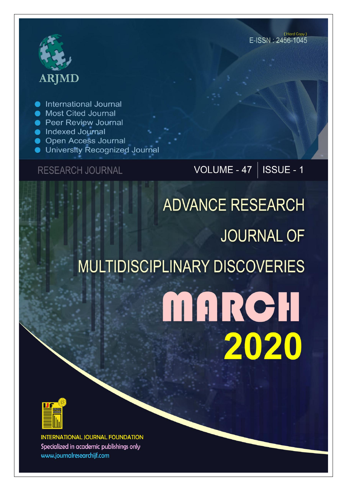# **ARJMD**

International Journal

- Most Cited Journal
- **Peer Review Journal**
- lndexed Journal
- **Open Access Journal**
- University Recognized Journal

**RESEARCH JOURNAL** 

VOLUME - 47 |  $\overline{\text{ISSUE}}$  - 1

# **ADVANCE RESEARCH JOURNAL OF MULTIDISCIPLINARY DISCOVERIES** MARCH 2020



**INTERNATIONAL JOURNAL FOUNDATION** Specialized in academic publishings only www.journalresearchijf.com

(Hard Copy) E-ISSN: 2456-1045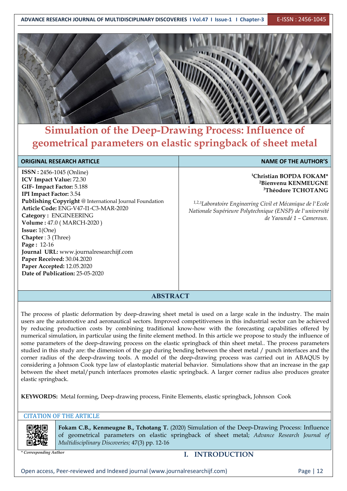

## **Simulation of the Deep-Drawing Process: Influence of geometrical parameters on elastic springback of sheet metal**

#### **ORIGINAL RESEARCH ARTICLE NAME** OF THE AUTHOR'S

**ISSN :** 2456-1045 (Online) **ICV Impact Value:** 72.30 **GIF- Impact Factor:** 5.188 **IPI Impact Factor:** 3.54 **Publishing Copyright** @ International Journal Foundation **Article Code:** ENG-V47-I1-C3-MAR-2020 **Category :** ENGINEERING **Volume :** 47.0 (MARCH-2020 ) **Issue:** 1(One) **Chapter** : 3 (Three) **Page :** 12-16 **Journal URL:** www.journalresearchijf.com **Paper Received:** 30.04.2020 **Paper Accepted:** 12.05.2020 **Date of Publication:** 25-05-2020

**<sup>1</sup>Christian BOPDA FOKAM\* <sup>2</sup>Bienvenu KENMEUGNE <sup>3</sup>Théodore TCHOTANG**

*1,2,<sup>3</sup>Laboratoire Engineering Civil etMécanique de l'Ecole Nationale Supérieure Polytechnique (ENSP) de l'université de Yaoundé 1 – Cameroun.*

#### **ABSTRACT**

The process of plastic deformation by deep-drawing sheet metal is used on a large scale in the industry. The main users are the automotive and aeronautical sectors. Improved competitiveness in this industrial sector can be achieved by reducing production costs by combining traditional know-how with the forecasting capabilities offered by numerical simulation, in particular using the finite element method. In this article we propose to study the influence of some parameters of the deep-drawing process on the elastic springback of thin sheet metal.. The process parameters studied in this study are: the dimension of the gap during bending between the sheet metal / punch interfaces and the corner radius of the deep-drawing tools. A model of the deep-drawing process was carried out in ABAQUS by considering a Johnson Cook type law of elastoplastic material behavior. Simulations show that an increase in the gap between the sheet metal/punch interfaces promotes elastic springback. A larger corner radius also produces greater elastic springback.

**KEYWORDS:** Metal forming, Deep-drawing process, Finite Elements, elastic springback, Johnson Cook

#### CITATION OF THE ARTICLE



**Fokam C.B., Kenmeugne B., Tchotang T.** (2020) Simulation of the Deep-Drawing Process: Influence of geometrical parameters on elastic springback of sheet metal; *Advance Research Journal of Multidisciplinary Discoveries;* 47(3) pp. 12-16

#### *\* Corresponding Author* **I. INTRODUCTION**

Open access, Peer-reviewed and Indexed journal (www.journalresearchijf.com) Page | 12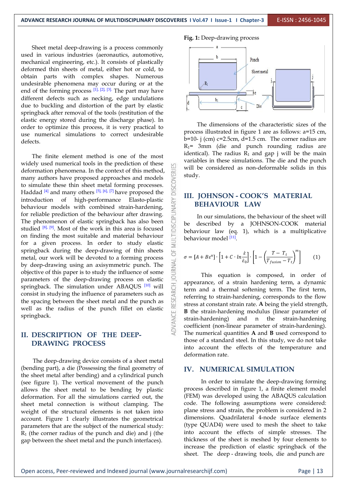Sheet metal deep-drawing is a process commonly used in various industries (aeronautics, automotive, mechanical engineering, etc.). It consists of plastically deformed thin sheets of metal, either hot or cold, to obtain parts with complex shapes. Numerous undesirable phenomena may occur during or at the  $\left|\right|$ end of the forming process  $[1]$ ,  $[2]$ ,  $[3]$ . The part may have different defects such as necking, edge undulations due to buckling and distortion of the part by elastic springback after removal of the tools (restitution of the elastic energy stored during the discharge phase). In order to optimize this process, it is very practical to use numerical simulations to correct undesirable defects.

The finite element method is one of the most widely used numerical tools in the prediction of these deformation phenomena. In the context of this method,<br>many authors have proposed approaches and models<br>to simulate these thin sheet metal forming processes.<br>Haddad <sup>[4]</sup> and many others <sup>[5], [6], [7]</sup> have proposed the many authors have proposed approaches and models to simulate these thin sheet metal forming processes. Haddad  $[4]$  and many others  $[5]$ ,  $[6]$ ,  $[7]$  have proposed the  $\overline{6}$   $\overline{1}$   $\overline{1}$   $\overline{1}$   $\overline{1}$   $\overline{1}$   $\overline{1}$   $\overline{1}$   $\overline{1}$   $\overline{1}$   $\overline{1}$   $\overline{1}$   $\overline{1}$   $\overline{1}$   $\overline{1}$   $\overline{1}$   $\overline{1}$  introduction of high-performance Elasto-plastic  $\geq$ <br>behaviour models with combined strain-hardening,<br>for reliable prediction of the behaviour after drawing.<br>The phenomenon of elastic springback has also been behaviour models with combined strain-hardening, for reliable prediction of the behaviour after drawing. The phenomenon of elastic springback has also been  $\overline{Q}$  be studied  $[8]$ ,  $[9]$ . Most of the work in this area is focused  $\Box$  hebaviour law studied  $\begin{bmatrix} 8j & 9j \end{bmatrix}$ . Most of the work in this area is focused<br>on finding the most suitable and material behaviour for a given process. In order to study elastic springback during the deep-drawing of thin sheets  $\overline{\bigcirc}$ metal, our work will be devoted to a forming process<br>by deep-drawing using an axisymmetric punch. The by deep-drawing using an axisymmetric punch. The objective of this paper is to study the influence of some parameters of the deep-drawing process on elastic<br>springback. The simulation under ABAQUS  $^{[10]}$  will<br>consist in studying the influence of parameters such as<br>the spacing between the sheet metal and the punch as<br>well as t springback. The simulation under ABAQUS  $\left[10\right]$  will  $\left.\frac{1}{10}\right]$  torm consist in studying the influence of parameters such as the spacing between the sheet metal and the punch as well as the radius of the punch fillet on elastic springback.

#### **II. DESCRIPTION OF THE DEEP- DRAWING PROCESS**

The deep-drawing device consists of a sheet metal (bending part), a die (Possessing the final geometry of the sheet metal after bending) and a cylindrical punch (see figure 1). The vertical movement of the punch allows the sheet metal to be bending by plastic deformation. For all the simulations carried out, the sheet metal connection is without clamping. The weight of the structural elements is not taken into account. Figure 1 clearly illustrates the geometrical parameters that are the subject of the numerical study:  $R_1$  (the corner radius of the punch and die) and j (the gap between the sheet metal and the punch interfaces).

#### **Fig. 1:** Deep-drawing process



The dimensions of the characteristic sizes of the process illustrated in figure 1 are as follows: a=15 cm,  $b=10$ - j (cm) c=2.5cm, d=1.5 cm. The corner radius are  $R_1$ = 3mm (die and punch rounding radius are identical). The radius  $R_1$  and gap j will be the main variables in these simulations. The die and the punch will be considered as non-deformable solids in this study.

#### **III. JOHNSON - COOK'S MATERIAL BEHAVIOUR LAW**

In our simulations, the behaviour of the sheet will be described by a JOHNSON-COOK material behaviour law (eq. 1), which is a multiplicative behaviour model <sup>[11]</sup>.

$$
\sigma = [A + B\varepsilon^{n}] \cdot \left[ 1 + C \cdot \ln \frac{\varepsilon}{\varepsilon_{0}} \right] \cdot \left[ 1 - \left( \frac{T - T_{t}}{T_{fusion} - T_{t}} \right)^{m} \right]
$$
(1)

This equation is composed, in order of appearance, of a strain hardening term, a dynamic term and a thermal softening term. The first term, referring to strain-hardening, corresponds to the flow stress at constant strain rate. **A** being the yield strength, **B** the strain-hardening modulus (linear parameter of strain-hardening) and n the strain-hardening coefficient (non-linear parameter of strain-hardening). The numerical quantities **A** and **B** used correspond to those of a standard steel. In this study, we do not take into account the effects of the temperature and deformation rate.

#### **IV. NUMERICAL SIMULATION**

In order to simulate the deep-drawing forming process described in figure 1, a finite element model (FEM) was developed using the ABAQUS calculation code. The following assumptions were considered: plane stress and strain, the problem is considered in 2 dimensions. Quadrilateral 4-node surface elements (type QUAD4) were used to mesh the sheet to take into account the effects of simple stresses. The thickness of the sheet is meshed by four elements to increase the prediction of elastic springback of the sheet. The deep - drawing tools, die and punch are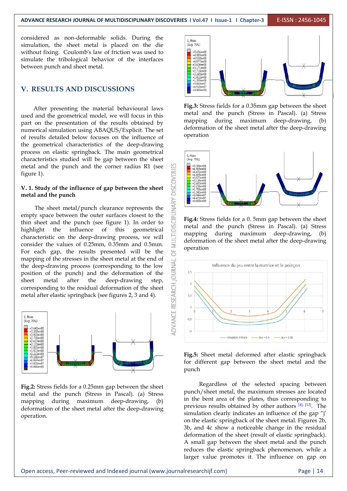**ADVANCE RESEARCH JOURNAL OF MULTIDISCIPLINARY DISCOVERIES I Vol.47 I Issue-1 I Chapter-3** E-ISSN : 2456-1045

considered as non-deformable solids. During the simulation, the sheet metal is placed on the die  $\left| \right|$   $\frac{1}{(Avg_1; 75%)}$ without fixing. Coulomb's law of friction was used to<br>simulate the tribological behavior of the interfaces simulate the tribological behavior of the interfaces between punch and sheet metal. between punch and sheet metal.

#### **V. RESULTS AND DISCUSSIONS**

After presenting the material behavioural laws used and the geometrical model, we will focus in this part on the presentation of the results obtained by numerical simulation using ABAQUS/Explicit. The set of results detailed below focuses on the influence of the geometrical characteristics of the deep-drawing process on elastic springback. The main geometrical  $\frac{1}{s, \text{Mise}}$ characteristics studied will be gap between the sheet  $\frac{1}{(Avg; 75%)}$ metal and the punch and the corner radius R1 (see  $\frac{10}{65}$  figure 1). figure 1).

### **V. 1. Study of the influence of gap between the sheet metal and the punch**

The sheet metal/punch clearance represents the space between the outer surfaces closest to the sheet and the punch (see figure 1). In order to empty space between the outer surfaces closest to the thin sheet and the punch (see figure 1). In order to highlight the influence of this geometrical  $\overline{\text{eq}}$  characteristic on the deep-drawing process, we will characteristic on the deep-drawing process, we will consider the values of 0.25mm, 0.35mm and 0.5mm. For each gap, the results presented will be the mapping of the stresses in the sheet metal at the end of<br>the deep-drawing process (corresponding to the low<br>position of the punch) and the deformation of the the deep-drawing process (corresponding to the low  $\sum_{n=1}^{\infty}$  Influence du jeu entre la matrice et le poincon position of the punch) and the deformation of the corresponding to the residual deformation of the sheet metal after elastic springback (see figures 2, 3 and 4).  $\leq$  0.5



Fig.2: Stress fields for a 0.25mm gap between the sheet metal and the punch (Stress in Pascal). (a) Stress mapping during maximum deep-drawing, (b) deformation of the sheet metal after the deep-drawing operation.



**Fig.3:** Stress fields for a 0.35mm gap between the sheet metal and the punch (Stress in Pascal). (a) Stress mapping during maximum deep-drawing, (b) deformation of the sheet metal after the deep-drawing operation



**Fig.4:** Stress fields for a 0. 5mm gap between the sheet metal and the punch (Stress in Pascal). (a) Stress mapping during maximum deep-drawing, (b) deformation of the sheet metal after the deep-drawing operation





Regardless of the selected spacing between punch/sheet metal, the maximum stresses are located in the bent area of the plates, thus corresponding to previous results obtained by other authors  $[4]$ ,  $[12]$ . The simulation clearly indicates an influence of the gap "j' on the elastic springback of the sheet metal. Figures 2b, 3b, and 4c show a noticeable change in the residual deformation of the sheet (result of elastic springback). A small gap between the sheet metal and the punch reduces the elastic springback phenomenon, while a larger value promotes it. The influence on gap on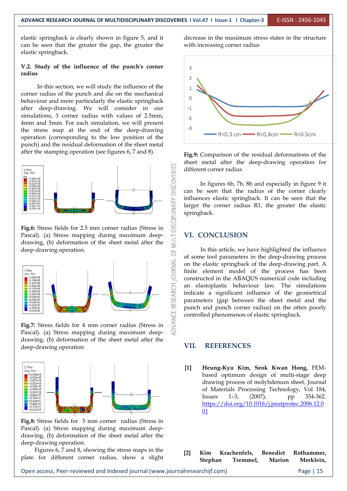#### **V.2. Study of the influence of the punch's corner radius**

In this section, we will study the influence of the  $\frac{1}{1}$ corner radius of the punch and die on the mechanical behaviour and more particularly the elastic springback after deep-drawing. We will consider in our simulations, 3 corner radius with values of 2.5mm, 4mm and 5mm. For each simulation, we will present the stress map at the end of the deep-drawing  $\frac{1}{3}$   $\frac{1}{\sqrt{3}}$  R=0.3 cm  $\frac{1}{\sqrt{3}}$  R=0.4cm  $\frac{1}{\sqrt{3}}$  R=0.5cm operation (corresponding to the low position of the punch) and the residual deformation of the sheet metal after the stamping operation (see figures 6, 7 and 8).



Pascal). (a) Stress mapping during maximum deep drawing, (b) deformation of the sheet metal after the deep-drawing operation.



Pascal). (a) Stress mapping during maximum deep drawing, (b) deformation of the sheet metal after the deep-drawing operation



**Fig.8:** Stress fields for 5 mm corner radius (Stress in Pascal). (a) Stress mapping during maximum deep drawing, (b) deformation of the sheet metal after the deep-drawing operation.

Figures 6, 7 and 8, showing the stress maps in the plate for different corner radius, show a slight decrease in the maximum stress states in the structure with increasing corner radius



**Fig.9:** Comparison of the residual deformations of the sheet metal after the deep-drawing operation for different corner radius

In figures 6b, 7b,8b and especially in figure 9 it can be seen that the radius of the corner clearly influences elastic springback. It can be seen that the larger the corner radius R1, the greater the elastic springback.

#### **VI. CONCLUSION**

In this article, we have highlighted the influence of some tool parameters in the deep-drawing process on the elastic springback of the deep-drawing part. A finite element model of the process has been constructed in the ABAQUS numerical code including an elastoplastic behaviour law. The simulations indicate a significant influence of the geometrical parameters (gap between the sheet metal and the punch and punch corner radius) on the often poorly controlled phenomenon of elastic springback.

#### **VII. REFERENCES**

**[1] Heung-Kyu Kim, Seok Kwan Hong,** FEM based optimum design of multi-stage deep drawing process of molybdenum sheet, Journal of Materials Processing Technology, Vol 184, Issues 1–3, (2007), pp 354-362. [https://doi.org/10.1016/j.jmatprotec.2006.12.0](https://doi.org/10.1016/j.jmatprotec.2006.12.001) <u>01</u>

| $\lceil 2 \rceil$ | Kim Krachenfels, Benedict Rothammer, |          |                  |  |
|-------------------|--------------------------------------|----------|------------------|--|
|                   | Stephan                              | Tremmel, | Marion Merklein, |  |
|                   |                                      |          |                  |  |